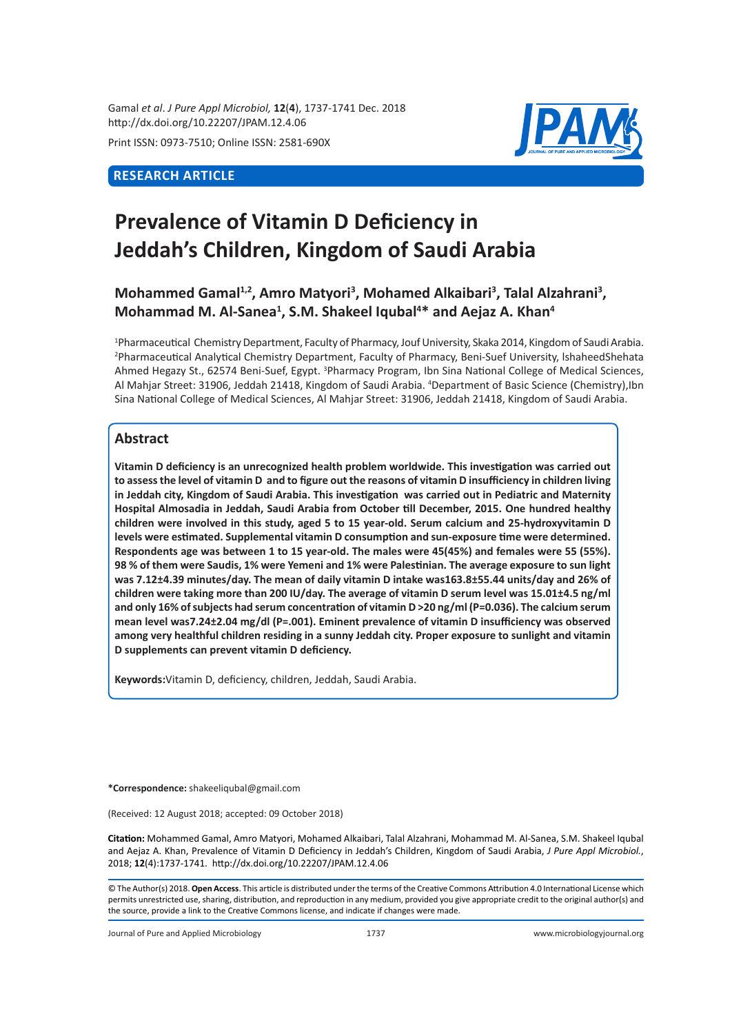Gamal *et al*. *J Pure Appl Microbiol,* **12**(**4**), 1737-1741 Dec. 2018 http://dx.doi.org/10.22207/JPAM.12.4.06

Print ISSN: 0973-7510; Online ISSN: 2581-690X

# **RESEARCH ARTICLE**



# **Prevalence of Vitamin D Deficiency in Jeddah's Children, Kingdom of Saudi Arabia**

# Mohammed Gamal<sup>1,2</sup>, Amro Matyori<sup>3</sup>, Mohamed Alkaibari<sup>3</sup>, Talal Alzahrani<sup>3</sup>, Mohammad M. Al-Sanea<sup>1</sup>, S.M. Shakeel Iqubal<sup>4\*</sup> and Aejaz A. Khan<sup>4</sup>

1 Pharmaceutical Chemistry Department, Faculty of Pharmacy, Jouf University, Skaka 2014, Kingdom of Saudi Arabia. 2 Pharmaceutical Analytical Chemistry Department, Faculty of Pharmacy, Beni-Suef University, lshaheedShehata Ahmed Hegazy St., 62574 Beni-Suef, Egypt. <sup>3</sup>Pharmacy Program, Ibn Sina National College of Medical Sciences, Al Mahjar Street: 31906, Jeddah 21418, Kingdom of Saudi Arabia. <sup>4</sup> Department of Basic Science (Chemistry),Ibn Sina National College of Medical Sciences, Al Mahjar Street: 31906, Jeddah 21418, Kingdom of Saudi Arabia.

## **Abstract**

**Vitamin D deficiency is an unrecognized health problem worldwide. This investigation was carried out to assess the level of vitamin D and to figure out the reasons of vitamin D insufficiency in children living in Jeddah city, Kingdom of Saudi Arabia. This investigation was carried out in Pediatric and Maternity Hospital Almosadia in Jeddah, Saudi Arabia from October till December, 2015. One hundred healthy children were involved in this study, aged 5 to 15 year-old. Serum calcium and 25-hydroxyvitamin D levels were estimated. Supplemental vitamin D consumption and sun-exposure time were determined. Respondents age was between 1 to 15 year-old. The males were 45(45%) and females were 55 (55%). 98 % of them were Saudis, 1% were Yemeni and 1% were Palestinian. The average exposure to sun light was 7.12±4.39 minutes/day. The mean of daily vitamin D intake was163.8±55.44 units/day and 26% of children were taking more than 200 IU/day. The average of vitamin D serum level was 15.01±4.5 ng/ml and only 16% of subjects had serum concentration of vitamin D >20 ng/ml (P=0.036). The calcium serum mean level was7.24±2.04 mg/dl (P=.001). Eminent prevalence of vitamin D insufficiency was observed among very healthful children residing in a sunny Jeddah city. Proper exposure to sunlight and vitamin D supplements can prevent vitamin D deficiency.**

**Keywords:**Vitamin D, deficiency, children, Jeddah, Saudi Arabia.

**\*Correspondence:** shakeeliqubal@gmail.com

(Received: 12 August 2018; accepted: 09 October 2018)

**Citation:** Mohammed Gamal, Amro Matyori, Mohamed Alkaibari, Talal Alzahrani, Mohammad M. Al-Sanea, S.M. Shakeel Iqubal and Aejaz A. Khan, Prevalence of Vitamin D Deficiency in Jeddah's Children, Kingdom of Saudi Arabia, *J Pure Appl Microbiol.*, 2018; **12**(4):1737-1741. http://dx.doi.org/10.22207/JPAM.12.4.06

© The Author(s) 2018. **Open Access**. This article is distributed under the terms of the Creative Commons Attribution 4.0 International License which permits unrestricted use, sharing, distribution, and reproduction in any medium, provided you give appropriate credit to the original author(s) and the source, provide a link to the Creative Commons license, and indicate if changes were made.

Journal of Pure and Applied Microbiology 1737 www.microbiologyjournal.org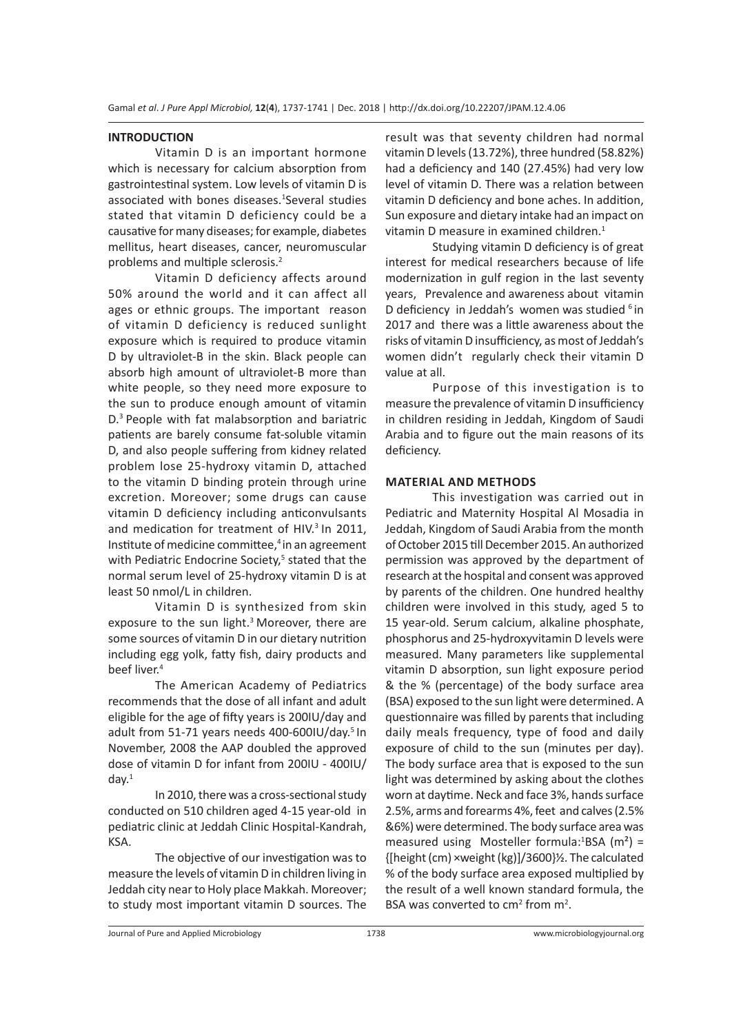#### **INTRODUCTION**

Vitamin D is an important hormone which is necessary for calcium absorption from gastrointestinal system. Low levels of vitamin D is associated with bones diseases.<sup>1</sup>Several studies stated that vitamin D deficiency could be a causative for many diseases; for example, diabetes mellitus, heart diseases, cancer, neuromuscular problems and multiple sclerosis.<sup>2</sup>

Vitamin D deficiency affects around 50% around the world and it can affect all ages or ethnic groups. The important reason of vitamin D deficiency is reduced sunlight exposure which is required to produce vitamin D by ultraviolet-B in the skin. Black people can absorb high amount of ultraviolet-B more than white people, so they need more exposure to the sun to produce enough amount of vitamin D.<sup>3</sup> People with fat malabsorption and bariatric patients are barely consume fat-soluble vitamin D, and also people suffering from kidney related problem lose 25-hydroxy vitamin D, attached to the vitamin D binding protein through urine excretion. Moreover; some drugs can cause vitamin D deficiency including anticonvulsants and medication for treatment of HIV.<sup>3</sup> In 2011, Institute of medicine committee, $4$  in an agreement with Pediatric Endocrine Society,<sup>5</sup> stated that the normal serum level of 25-hydroxy vitamin D is at least 50 nmol/L in children.

Vitamin D is synthesized from skin exposure to the sun light.<sup>3</sup> Moreover, there are some sources of vitamin D in our dietary nutrition including egg yolk, fatty fish, dairy products and beef liver.<sup>4</sup>

The American Academy of Pediatrics recommends that the dose of all infant and adult eligible for the age of fifty years is 200IU/day and adult from 51-71 years needs 400-600IU/day.<sup>5</sup> In November, 2008 the AAP doubled the approved dose of vitamin D for infant from 200IU - 400IU/  $d$ av. $1$ 

In 2010, there was a cross-sectional study conducted on 510 children aged 4-15 year-old in pediatric clinic at Jeddah Clinic Hospital-Kandrah, KSA.

The objective of our investigation was to measure the levels of vitamin D in children living in Jeddah city near to Holy place Makkah. Moreover; to study most important vitamin D sources. The result was that seventy children had normal vitamin D levels (13.72%), three hundred (58.82%) had a deficiency and 140 (27.45%) had very low level of vitamin D. There was a relation between vitamin D deficiency and bone aches. In addition, Sun exposure and dietary intake had an impact on vitamin D measure in examined children.<sup>1</sup>

Studying vitamin D deficiency is of great interest for medical researchers because of life modernization in gulf region in the last seventy years, Prevalence and awareness about vitamin D deficiency in Jeddah's women was studied <sup>6</sup> in 2017 and there was a little awareness about the risks of vitamin D insufficiency, as most of Jeddah's women didn't regularly check their vitamin D value at all.

Purpose of this investigation is to measure the prevalence of vitamin D insufficiency in children residing in Jeddah, Kingdom of Saudi Arabia and to figure out the main reasons of its deficiency.

#### **MATERIAL AND METHODS**

This investigation was carried out in Pediatric and Maternity Hospital Al Mosadia in Jeddah, Kingdom of Saudi Arabia from the month of October 2015 till December 2015. An authorized permission was approved by the department of research at the hospital and consent was approved by parents of the children. One hundred healthy children were involved in this study, aged 5 to 15 year-old. Serum calcium, alkaline phosphate, phosphorus and 25-hydroxyvitamin D levels were measured. Many parameters like supplemental vitamin D absorption, sun light exposure period & the % (percentage) of the body surface area (BSA) exposed to the sun light were determined. A questionnaire was filled by parents that including daily meals frequency, type of food and daily exposure of child to the sun (minutes per day). The body surface area that is exposed to the sun light was determined by asking about the clothes worn at daytime. Neck and face 3%, hands surface 2.5%, arms and forearms 4%, feet and calves (2.5% &6%) were determined. The body surface area was measured using Mosteller formula: ${}^{1}$ BSA (m<sup>2</sup>) = {[height (cm) ×weight (kg)]/3600}½. The calculated % of the body surface area exposed multiplied by the result of a well known standard formula, the BSA was converted to  $\text{cm}^2$  from  $\text{m}^2$ .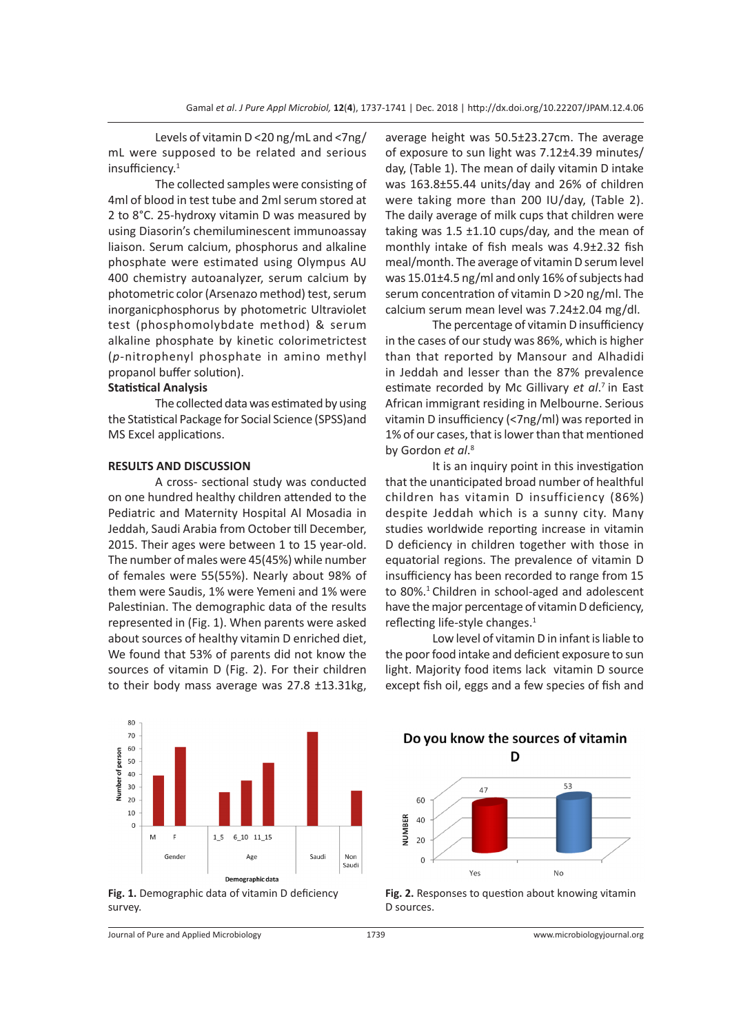Levels of vitamin D <20 ng/mL and <7ng/ mL were supposed to be related and serious insufficiency.<sup>1</sup>

The collected samples were consisting of 4ml of blood in test tube and 2ml serum stored at 2 to 8°C. 25-hydroxy vitamin D was measured by using Diasorin's chemiluminescent immunoassay liaison. Serum calcium, phosphorus and alkaline phosphate were estimated using Olympus AU 400 chemistry autoanalyzer, serum calcium by photometric color (Arsenazo method) test, serum inorganicphosphorus by photometric Ultraviolet test (phosphomolybdate method) & serum alkaline phosphate by kinetic colorimetrictest (*p*-nitrophenyl phosphate in amino methyl propanol buffer solution).

## **Statistical Analysis**

The collected data was estimated by using the Statistical Package for Social Science (SPSS)and MS Excel applications.

### **RESULTS AND DISCUSSION**

A cross- sectional study was conducted on one hundred healthy children attended to the Pediatric and Maternity Hospital Al Mosadia in Jeddah, Saudi Arabia from October till December, 2015. Their ages were between 1 to 15 year-old. The number of males were 45(45%) while number of females were 55(55%). Nearly about 98% of them were Saudis, 1% were Yemeni and 1% were Palestinian. The demographic data of the results represented in (Fig. 1). When parents were asked about sources of healthy vitamin D enriched diet, We found that 53% of parents did not know the sources of vitamin D (Fig. 2). For their children to their body mass average was 27.8 ±13.31kg,

average height was 50.5±23.27cm. The average of exposure to sun light was 7.12±4.39 minutes/ day, (Table 1). The mean of daily vitamin D intake was 163.8±55.44 units/day and 26% of children were taking more than 200 IU/day, (Table 2). The daily average of milk cups that children were taking was  $1.5 \pm 1.10 \text{ cups/day}$ , and the mean of monthly intake of fish meals was 4.9±2.32 fish meal/month. The average of vitamin D serum level was 15.01±4.5 ng/ml and only 16% of subjects had serum concentration of vitamin D >20 ng/ml. The calcium serum mean level was 7.24±2.04 mg/dl.

The percentage of vitamin D insufficiency in the cases of our study was 86%, which is higher than that reported by Mansour and Alhadidi in Jeddah and lesser than the 87% prevalence estimate recorded by Mc Gillivary *et al*. <sup>7</sup>in East African immigrant residing in Melbourne. Serious vitamin D insufficiency (<7ng/ml) was reported in 1% of our cases, that is lower than that mentioned by Gordon *et al*. 8

It is an inquiry point in this investigation that the unanticipated broad number of healthful children has vitamin D insufficiency (86%) despite Jeddah which is a sunny city. Many studies worldwide reporting increase in vitamin D deficiency in children together with those in equatorial regions. The prevalence of vitamin D insufficiency has been recorded to range from 15 to 80%.<sup>1</sup> Children in school-aged and adolescent have the major percentage of vitamin D deficiency, reflecting life-style changes.<sup>1</sup>

Low level of vitamin D in infant is liable to the poor food intake and deficient exposure to sun light. Majority food items lack vitamin D source except fish oil, eggs and a few species of fish and





Do you know the sources of vitamin D



**Fig. 2.** Responses to question about knowing vitamin D sources.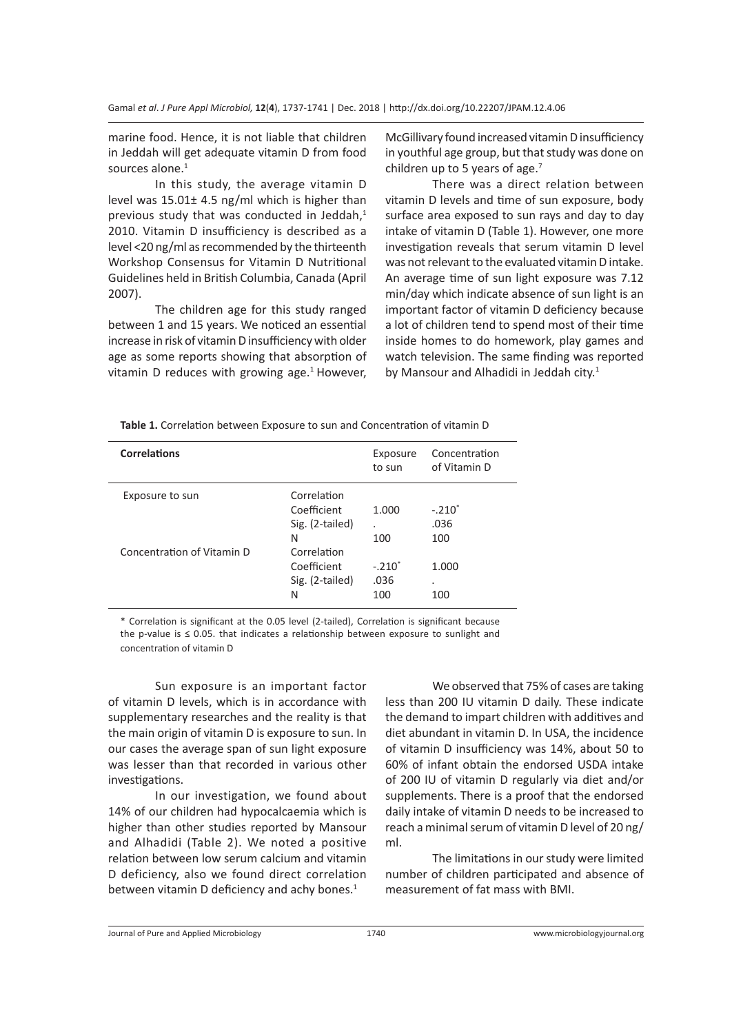marine food. Hence, it is not liable that children in Jeddah will get adequate vitamin D from food sources alone. $1$ 

In this study, the average vitamin D level was 15.01± 4.5 ng/ml which is higher than previous study that was conducted in Jeddah, $<sup>1</sup>$ </sup> 2010. Vitamin D insufficiency is described as a level <20 ng/ml as recommended by the thirteenth Workshop Consensus for Vitamin D Nutritional Guidelines held in British Columbia, Canada (April 2007).

The children age for this study ranged between 1 and 15 years. We noticed an essential increase in risk of vitamin D insufficiency with older age as some reports showing that absorption of vitamin D reduces with growing age. $1$  However,

McGillivary found increased vitamin D insufficiency in youthful age group, but that study was done on children up to 5 years of age. $<sup>7</sup>$ </sup>

There was a direct relation between vitamin D levels and time of sun exposure, body surface area exposed to sun rays and day to day intake of vitamin D (Table 1). However, one more investigation reveals that serum vitamin D level was not relevant to the evaluated vitamin D intake. An average time of sun light exposure was 7.12 min/day which indicate absence of sun light is an important factor of vitamin D deficiency because a lot of children tend to spend most of their time inside homes to do homework, play games and watch television. The same finding was reported by Mansour and Alhadidi in Jeddah city. $1$ 

**Table 1.** Correlation between Exposure to sun and Concentration of vitamin D

| Correlations               |                 | Exposure<br>to sun   | Concentration<br>of Vitamin D |
|----------------------------|-----------------|----------------------|-------------------------------|
| Exposure to sun            | Correlation     |                      |                               |
|                            | Coefficient     | 1.000                | $-.210*$                      |
|                            | Sig. (2-tailed) | $\ddot{\phantom{a}}$ | .036                          |
|                            | N               | 100                  | 100                           |
| Concentration of Vitamin D | Correlation     |                      |                               |
|                            | Coefficient     | $-.210"$             | 1.000                         |
|                            | Sig. (2-tailed) | .036                 | ٠                             |
|                            | N               | 100                  | 100                           |
|                            |                 |                      |                               |

\* Correlation is significant at the 0.05 level (2-tailed), Correlation is significant because the p-value is ≤ 0.05. that indicates a relationship between exposure to sunlight and concentration of vitamin D

Sun exposure is an important factor of vitamin D levels, which is in accordance with supplementary researches and the reality is that the main origin of vitamin D is exposure to sun. In our cases the average span of sun light exposure was lesser than that recorded in various other investigations.

In our investigation, we found about 14% of our children had hypocalcaemia which is higher than other studies reported by Mansour and Alhadidi (Table 2). We noted a positive relation between low serum calcium and vitamin D deficiency, also we found direct correlation between vitamin D deficiency and achy bones.<sup>1</sup>

We observed that 75% of cases are taking less than 200 IU vitamin D daily. These indicate the demand to impart children with additives and diet abundant in vitamin D. In USA, the incidence of vitamin D insufficiency was 14%, about 50 to 60% of infant obtain the endorsed USDA intake of 200 IU of vitamin D regularly via diet and/or supplements. There is a proof that the endorsed daily intake of vitamin D needs to be increased to reach a minimal serum of vitamin D level of 20 ng/ ml.

The limitations in our study were limited number of children participated and absence of measurement of fat mass with BMI.

Journal of Pure and Applied Microbiology